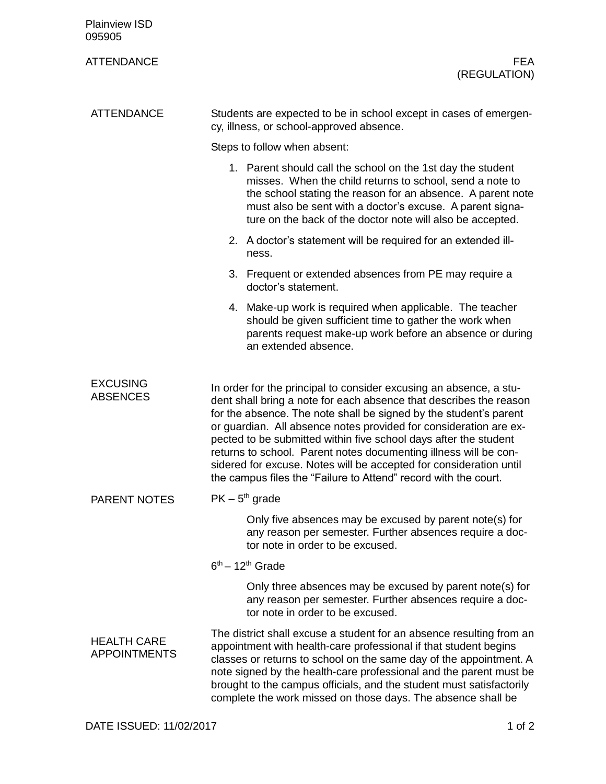| <b>Plainview ISD</b><br>095905            |                                                                                                                                                                                                                                                                                                                                                                                                                                                                                                                                                                     |
|-------------------------------------------|---------------------------------------------------------------------------------------------------------------------------------------------------------------------------------------------------------------------------------------------------------------------------------------------------------------------------------------------------------------------------------------------------------------------------------------------------------------------------------------------------------------------------------------------------------------------|
| <b>ATTENDANCE</b>                         | FEA.<br>(REGULATION)                                                                                                                                                                                                                                                                                                                                                                                                                                                                                                                                                |
| <b>ATTENDANCE</b>                         | Students are expected to be in school except in cases of emergen-<br>cy, illness, or school-approved absence.                                                                                                                                                                                                                                                                                                                                                                                                                                                       |
|                                           | Steps to follow when absent:                                                                                                                                                                                                                                                                                                                                                                                                                                                                                                                                        |
|                                           | 1. Parent should call the school on the 1st day the student<br>misses. When the child returns to school, send a note to<br>the school stating the reason for an absence. A parent note<br>must also be sent with a doctor's excuse. A parent signa-<br>ture on the back of the doctor note will also be accepted.                                                                                                                                                                                                                                                   |
|                                           | 2. A doctor's statement will be required for an extended ill-<br>ness.                                                                                                                                                                                                                                                                                                                                                                                                                                                                                              |
|                                           | 3. Frequent or extended absences from PE may require a<br>doctor's statement.                                                                                                                                                                                                                                                                                                                                                                                                                                                                                       |
|                                           | 4. Make-up work is required when applicable. The teacher<br>should be given sufficient time to gather the work when<br>parents request make-up work before an absence or during<br>an extended absence.                                                                                                                                                                                                                                                                                                                                                             |
| <b>EXCUSING</b><br><b>ABSENCES</b>        | In order for the principal to consider excusing an absence, a stu-<br>dent shall bring a note for each absence that describes the reason<br>for the absence. The note shall be signed by the student's parent<br>or guardian. All absence notes provided for consideration are ex-<br>pected to be submitted within five school days after the student<br>returns to school. Parent notes documenting illness will be con-<br>sidered for excuse. Notes will be accepted for consideration until<br>the campus files the "Failure to Attend" record with the court. |
| <b>PARENT NOTES</b>                       | $PK - 5th$ grade                                                                                                                                                                                                                                                                                                                                                                                                                                                                                                                                                    |
|                                           | Only five absences may be excused by parent note(s) for<br>any reason per semester. Further absences require a doc-<br>tor note in order to be excused.                                                                                                                                                                                                                                                                                                                                                                                                             |
|                                           | $6th - 12th$ Grade                                                                                                                                                                                                                                                                                                                                                                                                                                                                                                                                                  |
|                                           | Only three absences may be excused by parent note(s) for<br>any reason per semester. Further absences require a doc-<br>tor note in order to be excused.                                                                                                                                                                                                                                                                                                                                                                                                            |
| <b>HEALTH CARE</b><br><b>APPOINTMENTS</b> | The district shall excuse a student for an absence resulting from an<br>appointment with health-care professional if that student begins<br>classes or returns to school on the same day of the appointment. A<br>note signed by the health-care professional and the parent must be<br>brought to the campus officials, and the student must satisfactorily<br>complete the work missed on those days. The absence shall be                                                                                                                                        |